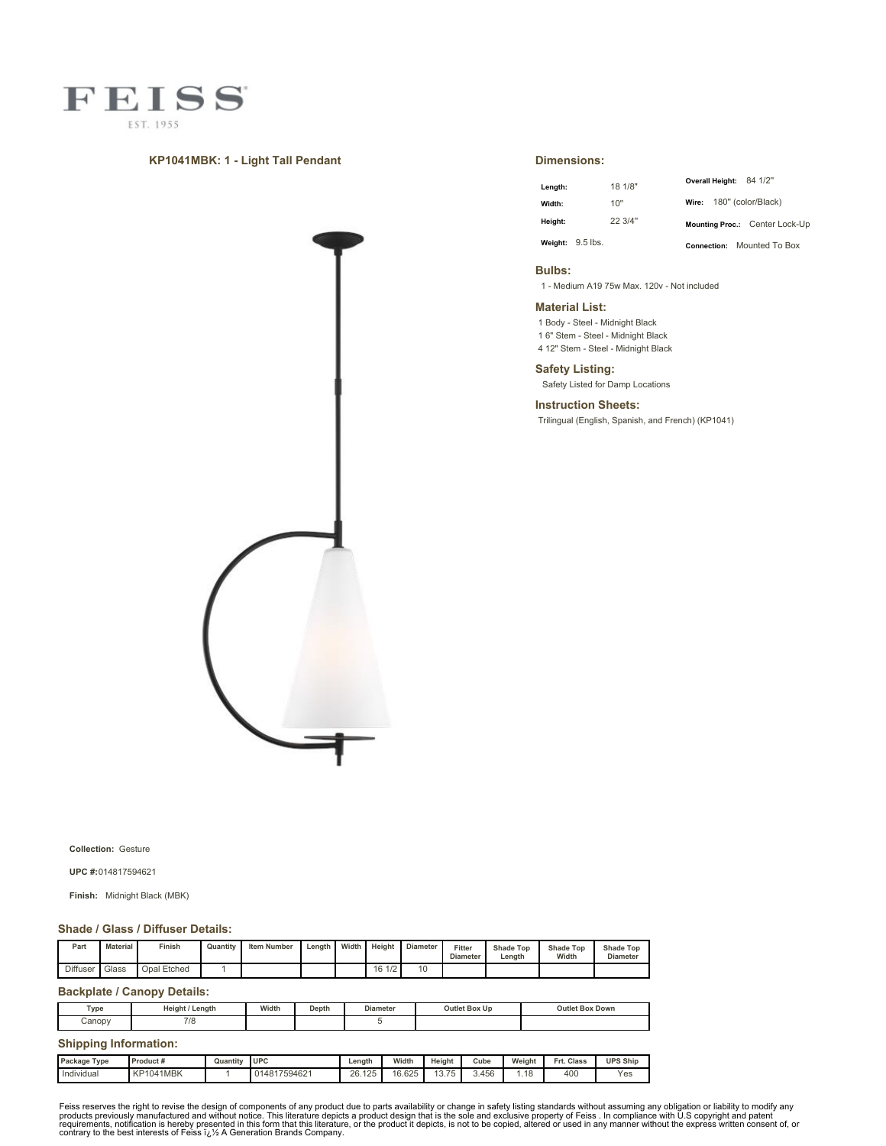

## **KP1041MBK: 1 - Light Tall Pendant**



**Dimensions:**

| Length: |                    | 18 1/8" |                          | Overall Height: 84 1/2"           |  |
|---------|--------------------|---------|--------------------------|-----------------------------------|--|
| Width:  |                    | 10"     | Wire: 180" (color/Black) |                                   |  |
| Height: |                    | 22 3/4" |                          | Mounting Proc.: Center Lock-Up    |  |
|         | Weight: $9.5$ lbs. |         |                          | <b>Connection:</b> Mounted To Box |  |

### **Bulbs:**

1 - Medium A19 75w Max. 120v - Not included

## **Material List:**

1 Body - Steel - Midnight Black 1 6" Stem - Steel - Midnight Black

4 12" Stem - Steel - Midnight Black

### **Safety Listing:**

Safety Listed for Damp Locations

**Instruction Sheets:**

Trilingual (English, Spanish, and French) (KP1041)

**Collection:** Gesture

**UPC #:**014817594621

**Finish:** Midnight Black (MBK)

#### **Shade / Glass / Diffuser Details:**

| Part     | Material | Finish      | Quantity | <b>Item Number</b> | Length | Width | Height                                            | <b>Diameter</b> | Fitter<br><b>Diameter</b> | <b>Shade Top</b><br>Lenath | <b>Shade Top</b><br>Width | <b>Shade Top</b><br><b>Diameter</b> |
|----------|----------|-------------|----------|--------------------|--------|-------|---------------------------------------------------|-----------------|---------------------------|----------------------------|---------------------------|-------------------------------------|
| Diffuser | Glass    | Opal Etched |          |                    |        |       | $\overline{AB}$<br>16<br>$\overline{\phantom{a}}$ | 10              |                           |                            |                           |                                     |

# **Backplate / Canopy Details:**

| Type   | Height / Length              | Width | Depth | <b>Diameter</b> | Outlet Box Up | <b>Outlet Box Down</b> |  |  |  |  |
|--------|------------------------------|-------|-------|-----------------|---------------|------------------------|--|--|--|--|
| Canopy | 7/8                          |       |       |                 |               |                        |  |  |  |  |
|        | <b>Shipping Information:</b> |       |       |                 |               |                        |  |  |  |  |

| Package Type | Product#         | Quantity | <b>UPC</b>   | Length                | Width  | Height                                          | Cube  | Weight | Frt.<br>Class | <b>UPS Ship</b> |
|--------------|------------------|----------|--------------|-----------------------|--------|-------------------------------------------------|-------|--------|---------------|-----------------|
| Individual   | <b>KP1041MBK</b> |          | 014817594621 | 125<br>2Q<br>20. I 20 | 16.625 | $\overline{ }$<br>$\sqrt{2}$<br>$\cdot$<br>10.1 | 3.456 | .18    | 400           | Yes             |

Feiss reserves the right to revise the design of components of any product due to parts availability or change in safety listing standards without assuming any obligation or liability to modify any product due to parts av